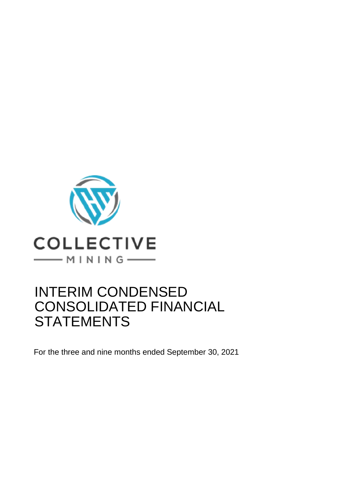

# INTERIM CONDENSED CONSOLIDATED FINANCIAL **STATEMENTS**

For the three and nine months ended September 30, 2021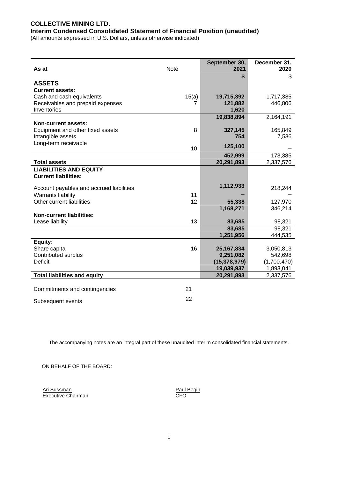# **COLLECTIVE MINING LTD.**

**Interim Condensed Consolidated Statement of Financial Position (unaudited)**

(All amounts expressed in U.S. Dollars, unless otherwise indicated)

| As at                                    | <b>Note</b> | September 30,<br>2021 | December 31,<br>2020 |
|------------------------------------------|-------------|-----------------------|----------------------|
|                                          |             |                       |                      |
| <b>ASSETS</b><br><b>Current assets:</b>  |             |                       | \$                   |
| Cash and cash equivalents                | 15(a)       | 19,715,392            | 1,717,385            |
| Receivables and prepaid expenses         | 7           | 121,882               | 446,806              |
| Inventories                              |             | 1,620                 |                      |
| <b>Non-current assets:</b>               |             | 19,838,894            | 2,164,191            |
| Equipment and other fixed assets         | 8           | 327,145               | 165,849              |
| Intangible assets                        |             | 754                   | 7,536                |
| Long-term receivable                     | 10          | 125,100               |                      |
|                                          |             | 452,999               | 173,385              |
| <b>Total assets</b>                      |             | 20,291,893            | 2,337,576            |
| <b>LIABILITIES AND EQUITY</b>            |             |                       |                      |
| <b>Current liabilities:</b>              |             |                       |                      |
| Account payables and accrued liabilities |             | 1,112,933             | 218,244              |
| Warrants liability                       | 11          |                       |                      |
| Other current liabilities                | 12          | 55,338                | 127,970              |
| <b>Non-current liabilities:</b>          |             | 1,168,271             | 346,214              |
| Lease liability                          | 13          | 83,685                | 98,321               |
|                                          |             | 83,685                | 98,321               |
|                                          |             | 1,251,956             | 444,535              |
| Equity:                                  |             |                       |                      |
| Share capital                            | 16          | 25, 167, 834          | 3,050,813            |
| Contributed surplus                      |             | 9,251,082             | 542,698              |
| <b>Deficit</b>                           |             | (15, 378, 979)        | (1,700,470)          |
|                                          |             | 19,039,937            | 1,893,041            |
| <b>Total liabilities and equity</b>      |             | 20,291,893            | 2,337,576            |
|                                          |             |                       |                      |
| Commitments and contingencies            | 21          |                       |                      |
| Subsequent events                        | 22          |                       |                      |

The accompanying notes are an integral part of these unaudited interim consolidated financial statements.

ON BEHALF OF THE BOARD:

Ari Sussman **Paul Begin** Executive Chairman CFO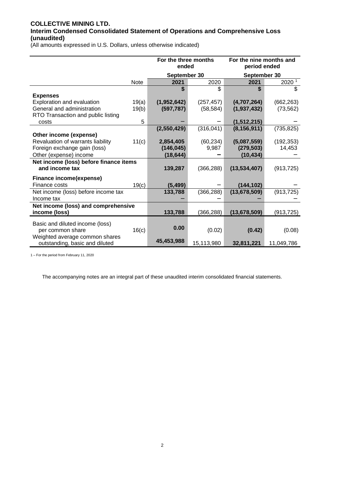# **COLLECTIVE MINING LTD. Interim Condensed Consolidated Statement of Operations and Comprehensive Loss (unaudited)**

(All amounts expressed in U.S. Dollars, unless otherwise indicated)

|                                                                  |             | For the three months<br>ended |            | For the nine months and<br>period ended |            |
|------------------------------------------------------------------|-------------|-------------------------------|------------|-----------------------------------------|------------|
|                                                                  |             | September 30                  |            | September 30                            |            |
|                                                                  | <b>Note</b> | 2021                          | 2020       | 2021                                    | 2020 1     |
|                                                                  |             | \$                            | \$         | \$                                      | \$         |
| <b>Expenses</b>                                                  |             |                               |            |                                         |            |
| Exploration and evaluation                                       | 19(a)       | (1,952,642)                   | (257, 457) | (4,707,264)                             | (662, 263) |
| General and administration                                       | 19(b)       | (597, 787)                    | (58, 584)  | (1, 937, 432)                           | (73, 562)  |
| RTO Transaction and public listing                               |             |                               |            |                                         |            |
| costs                                                            | 5           |                               |            | (1, 512, 215)                           |            |
|                                                                  |             | (2,550,429)                   | (316, 041) | (8, 156, 911)                           | (735, 825) |
| Other income (expense)                                           |             |                               |            |                                         |            |
| Revaluation of warrants liability                                | 11(c)       | 2,854,405                     | (60, 234)  | (5,087,559)                             | (192, 353) |
| Foreign exchange gain (loss)                                     |             | (146, 045)                    | 9,987      | (279, 503)                              | 14,453     |
| Other (expense) income                                           |             | (18,644)                      |            | (10,434)                                |            |
| Net income (loss) before finance items                           |             |                               |            |                                         |            |
| and income tax                                                   |             | 139,287                       | (366, 288) | (13,534,407)                            | (913, 725) |
| Finance income(expense)                                          |             |                               |            |                                         |            |
| Finance costs                                                    | 19(c)       | (5, 499)                      |            | (144, 102)                              |            |
| Net income (loss) before income tax                              |             | 133,788                       | (366, 288) | (13, 678, 509)                          | (913, 725) |
| Income tax                                                       |             |                               |            |                                         |            |
| Net income (loss) and comprehensive                              |             |                               |            |                                         |            |
| income (loss)                                                    |             | 133,788                       | (366, 288) | (13, 678, 509)                          | (913,725)  |
|                                                                  |             |                               |            |                                         |            |
| Basic and diluted income (loss)                                  |             | 0.00                          |            |                                         |            |
| per common share                                                 | 16(c)       |                               | (0.02)     | (0.42)                                  | (0.08)     |
| Weighted average common shares<br>outstanding, basic and diluted |             | 45,453,988                    | 15,113,980 | 32,811,221                              | 11,049,786 |

1 – For the period from February 11, 2020

The accompanying notes are an integral part of these unaudited interim consolidated financial statements.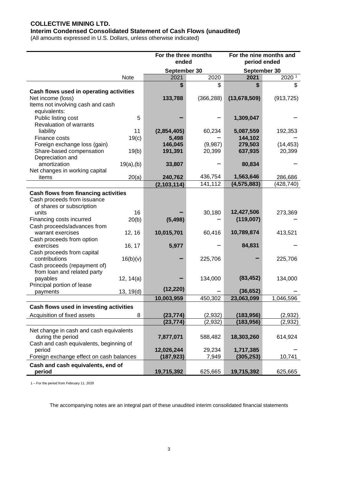# **COLLECTIVE MINING LTD.**

# **Interim Condensed Consolidated Statement of Cash Flows (unaudited)**

(All amounts expressed in U.S. Dollars, unless otherwise indicated)

|                                                                            |             | For the three months<br>ended |                   | For the nine months and<br>period ended |                     |
|----------------------------------------------------------------------------|-------------|-------------------------------|-------------------|-----------------------------------------|---------------------|
|                                                                            |             | September 30                  |                   | September 30                            |                     |
|                                                                            | <b>Note</b> | 2021                          | 2020              | 2021                                    | 2020 1              |
|                                                                            |             | \$                            | \$                | S                                       | \$                  |
| Cash flows used in operating activities                                    |             |                               |                   |                                         |                     |
| Net income (loss)                                                          |             | 133,788                       | (366, 288)        | (13,678,509)                            | (913, 725)          |
| Items not involving cash and cash                                          |             |                               |                   |                                         |                     |
| equivalents:                                                               |             |                               |                   |                                         |                     |
| Public listing cost                                                        | 5           |                               |                   | 1,309,047                               |                     |
| <b>Revaluation of warrants</b>                                             |             |                               |                   |                                         |                     |
| liability                                                                  | 11          | (2,854,405)                   | 60,234            | 5,087,559                               | 192,353             |
| Finance costs                                                              | 19(c)       | 5,498                         |                   | 144,102                                 |                     |
| Foreign exchange loss (gain)                                               |             | 146,045<br>191,391            | (9,987)<br>20,399 | 279,503<br>637,935                      | (14, 453)<br>20,399 |
| Share-based compensation<br>Depreciation and                               | 19(b)       |                               |                   |                                         |                     |
| amortization                                                               | 19(a), (b)  | 33,807                        |                   | 80,834                                  |                     |
| Net changes in working capital                                             |             |                               |                   |                                         |                     |
| items                                                                      | 20(a)       | 240,762                       | 436,754           | 1,563,646                               | 286,686             |
|                                                                            |             | (2, 103, 114)                 | 141,112           | (4, 575, 883)                           | (428, 740)          |
|                                                                            |             |                               |                   |                                         |                     |
| <b>Cash flows from financing activities</b><br>Cash proceeds from issuance |             |                               |                   |                                         |                     |
| of shares or subscription                                                  |             |                               |                   |                                         |                     |
| units                                                                      | 16          |                               | 30,180            | 12,427,506                              | 273,369             |
| Financing costs incurred                                                   | 20(b)       | (5, 498)                      |                   | (119,007)                               |                     |
| Cash proceeds/advances from                                                |             |                               |                   |                                         |                     |
| warrant exercises                                                          | 12, 16      | 10,015,701                    | 60,416            | 10,789,874                              | 413,521             |
| Cash proceeds from option                                                  |             |                               |                   |                                         |                     |
| exercises                                                                  | 16, 17      | 5,977                         |                   | 84,831                                  |                     |
| Cash proceeds from capital                                                 |             |                               |                   |                                         |                     |
| contributions                                                              | 16(b)(v)    |                               | 225,706           |                                         | 225,706             |
| Cash proceeds (repayment of)                                               |             |                               |                   |                                         |                     |
| from loan and related party                                                |             |                               |                   |                                         |                     |
| payables                                                                   | 12, 14(a)   |                               | 134,000           | (83, 452)                               | 134,000             |
| Principal portion of lease                                                 |             |                               |                   |                                         |                     |
| payments                                                                   | 13, 19(d)   | (12, 220)                     |                   | (36, 652)                               |                     |
|                                                                            |             | 10,003,959                    | 450,302           | 23,063,099                              | 1,046,596           |
| Cash flows used in investing activities                                    |             |                               |                   |                                         |                     |
| Acquisition of fixed assets                                                | 8           | (23, 774)                     | (2,932)           | (183, 956)                              | (2,932)             |
|                                                                            |             | (23, 774)                     | (2,932)           | (183, 956)                              | (2,932)             |
| Net change in cash and cash equivalents                                    |             |                               |                   |                                         |                     |
| during the period                                                          |             | 7,877,071                     | 588,482           | 18,303,260                              | 614,924             |
| Cash and cash equivalents, beginning of                                    |             |                               |                   |                                         |                     |
| period                                                                     |             | 12,026,244                    | 29,234            | 1,717,385                               |                     |
| Foreign exchange effect on cash balances                                   |             | (187, 923)                    | 7,949             | (305,253)                               | 10,741              |
| Cash and cash equivalents, end of                                          |             |                               |                   |                                         |                     |
| period                                                                     |             | 19,715,392                    | 625,665           | 19,715,392                              | 625,665             |

1 – For the period from February 11, 2020

The accompanying notes are an integral part of these unaudited interim consolidated financial statements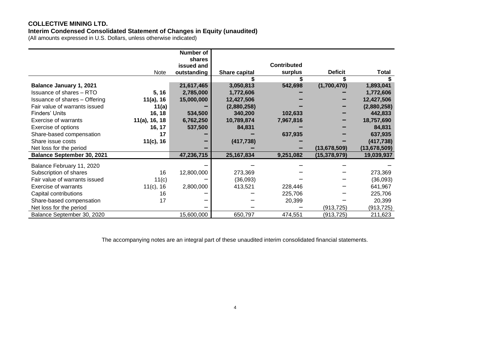# **COLLECTIVE MINING LTD.**

#### **Interim Condensed Consolidated Statement of Changes in Equity (unaudited)**

(All amounts expressed in U.S. Dollars, unless otherwise indicated)

|                                      |                  | <b>Number of</b> |                      |                    |                |                |
|--------------------------------------|------------------|------------------|----------------------|--------------------|----------------|----------------|
|                                      |                  | shares           |                      |                    |                |                |
|                                      |                  | issued and       |                      | <b>Contributed</b> |                |                |
|                                      | Note             | outstanding      | <b>Share capital</b> | surplus            | <b>Deficit</b> | Total          |
|                                      |                  |                  |                      |                    |                |                |
| <b>Balance January 1, 2021</b>       |                  | 21,617,465       | 3,050,813            | 542,698            | (1,700,470)    | 1,893,041      |
| <b>Issuance of shares - RTO</b>      | 5, 16            | 2,785,000        | 1,772,606            |                    |                | 1,772,606      |
| <b>Issuance of shares - Offering</b> | 11(a), 16        | 15,000,000       | 12,427,506           |                    |                | 12,427,506     |
| Fair value of warrants issued        | 11(a)            |                  | (2,880,258)          |                    |                | (2,880,258)    |
| Finders' Units                       | 16, 18           | 534,500          | 340,200              | 102,633            |                | 442,833        |
| Exercise of warrants                 | $11(a)$ , 16, 18 | 6,762,250        | 10,789,874           | 7,967,816          |                | 18,757,690     |
| Exercise of options                  | 16, 17           | 537,500          | 84,831               |                    |                | 84,831         |
| Share-based compensation             | 17               |                  |                      | 637,935            |                | 637,935        |
| Share issue costs                    | 11(c), 16        |                  | (417, 738)           |                    |                | (417, 738)     |
| Net loss for the period              |                  |                  |                      |                    | (13, 678, 509) | (13, 678, 509) |
| <b>Balance September 30, 2021</b>    |                  | 47,236,715       | 25, 167, 834         | 9,251,082          | (15, 378, 979) | 19,039,937     |
| Balance February 11, 2020            |                  |                  |                      |                    |                |                |
| Subscription of shares               | 16               | 12,800,000       | 273,369              |                    |                | 273,369        |
| Fair value of warrants issued        | 11(c)            |                  | (36,093)             |                    |                | (36,093)       |
| Exercise of warrants                 | $11(c)$ , 16     | 2,800,000        | 413,521              | 228,446            |                | 641,967        |
| Capital contributions                | 16               |                  |                      | 225,706            |                | 225,706        |
| Share-based compensation             | 17               |                  |                      | 20,399             |                | 20,399         |
| Net loss for the period              |                  |                  |                      |                    | (913, 725)     | (913, 725)     |
| Balance September 30, 2020           |                  | 15,600,000       | 650,797              | 474,551            | (913, 725)     | 211,623        |

The accompanying notes are an integral part of these unaudited interim consolidated financial statements.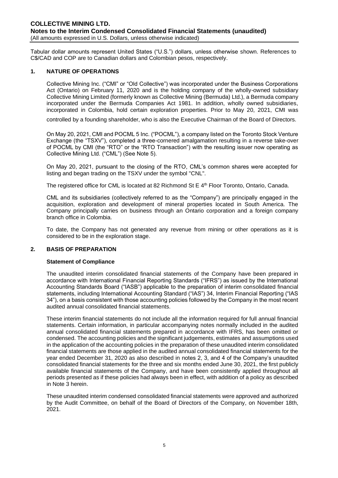Tabular dollar amounts represent United States ("U.S.") dollars, unless otherwise shown. References to C\$/CAD and COP are to Canadian dollars and Colombian pesos, respectively.

#### **1. NATURE OF OPERATIONS**

Collective Mining Inc. ("CMI" or "Old Collective") was incorporated under the Business Corporations Act (Ontario) on February 11, 2020 and is the holding company of the wholly-owned subsidiary Collective Mining Limited (formerly known as Collective Mining (Bermuda) Ltd.), a Bermuda company incorporated under the Bermuda Companies Act 1981. In addition, wholly owned subsidiaries, incorporated in Colombia, hold certain exploration properties. Prior to May 20, 2021, CMI was

controlled by a founding shareholder, who is also the Executive Chairman of the Board of Directors.

On May 20, 2021, CMI and POCML 5 Inc. ("POCML"), a company listed on the Toronto Stock Venture Exchange (the "TSXV"), completed a three-cornered amalgamation resulting in a reverse take-over of POCML by CMI (the "RTO" or the "RTO Transaction") with the resulting issuer now operating as Collective Mining Ltd. ("CML") (See Note 5).

On May 20, 2021, pursuant to the closing of the RTO, CML's common shares were accepted for listing and began trading on the TSXV under the symbol "CNL".

The registered office for CML is located at 82 Richmond St E 4<sup>th</sup> Floor Toronto, Ontario, Canada.

CML and its subsidiaries (collectively referred to as the "Company") are principally engaged in the acquisition, exploration and development of mineral properties located in South America. The Company principally carries on business through an Ontario corporation and a foreign company branch office in Colombia.

To date, the Company has not generated any revenue from mining or other operations as it is considered to be in the exploration stage.

#### **2. BASIS OF PREPARATION**

#### **Statement of Compliance**

The unaudited interim consolidated financial statements of the Company have been prepared in accordance with International Financial Reporting Standards ("IFRS") as issued by the International Accounting Standards Board ("IASB") applicable to the preparation of interim consolidated financial statements, including International Accounting Standard ("IAS") 34, Interim Financial Reporting ("IAS 34"), on a basis consistent with those accounting policies followed by the Company in the most recent audited annual consolidated financial statements.

These interim financial statements do not include all the information required for full annual financial statements. Certain information, in particular accompanying notes normally included in the audited annual consolidated financial statements prepared in accordance with IFRS, has been omitted or condensed. The accounting policies and the significant judgements, estimates and assumptions used in the application of the accounting policies in the preparation of these unaudited interim consolidated financial statements are those applied in the audited annual consolidated financial statements for the year ended December 31, 2020 as also described in notes 2, 3, and 4 of the Company's unaudited consolidated financial statements for the three and six months ended June 30, 2021, the first publicly available financial statements of the Company, and have been consistently applied throughout all periods presented as if these policies had always been in effect, with addition of a policy as described in Note 3 herein.

These unaudited interim condensed consolidated financial statements were approved and authorized by the Audit Committee, on behalf of the Board of Directors of the Company, on November 18th, 2021.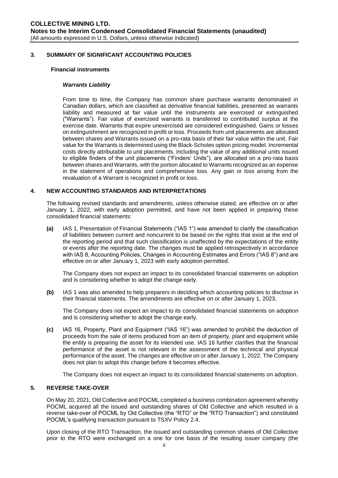#### **3. SUMMARY OF SIGNIFICANT ACCOUNTING POLICIES**

#### **Financial instruments**

#### *Warrants Liability*

From time to time, the Company has common share purchase warrants denominated in Canadian dollars, which are classified as derivative financial liabilities, presented as warrants liability and measured at fair value until the instruments are exercised or extinguished ("Warrants"). Fair value of exercised warrants is transferred to contributed surplus at the exercise date. Warrants that expire unexercised are considered extinguished. Gains or losses on extinguishment are recognized in profit or loss. Proceeds from unit placements are allocated between shares and Warrants issued on a pro-rata basis of their fair value within the unit. Fair value for the Warrants is determined using the Black-Scholes option pricing model. Incremental costs directly attributable to unit placements, including the value of any additional units issued to eligible finders of the unit placements ("Finders' Units"), are allocated on a pro-rata basis between shares and Warrants, with the portion allocated to Warrants recognized as an expense in the statement of operations and comprehensive loss. Any gain or loss arising from the revaluation of a Warrant is recognized in profit or loss.

#### **4. NEW ACCOUNTING STANDARDS AND INTERPRETATIONS**

The following revised standards and amendments, unless otherwise stated, are effective on or after January 1, 2022, with early adoption permitted, and have not been applied in preparing these consolidated financial statements:

**(a)** IAS 1, Presentation of Financial Statements ("IAS 1") was amended to clarify the classification of liabilities between current and noncurrent to be based on the rights that exist at the end of the reporting period and that such classification is unaffected by the expectations of the entity or events after the reporting date. The changes must be applied retrospectively in accordance with IAS 8, Accounting Policies, Changes in Accounting Estimates and Errors ("IAS 8") and are effective on or after January 1, 2023 with early adoption permitted.

The Company does not expect an impact to its consolidated financial statements on adoption and is considering whether to adopt the change early.

**(b)** IAS 1 was also amended to help preparers in deciding which accounting policies to disclose in their financial statements. The amendments are effective on or after January 1, 2023.

The Company does not expect an impact to its consolidated financial statements on adoption and is considering whether to adopt the change early.

**(c)** IAS 16, Property, Plant and Equipment ("IAS 16") was amended to prohibit the deduction of proceeds from the sale of items produced from an item of property, plant and equipment while the entity is preparing the asset for its intended use. IAS 16 further clarifies that the financial performance of the asset is not relevant in the assessment of the technical and physical performance of the asset. The changes are effective on or after January 1, 2022. The Company does not plan to adopt this change before it becomes effective.

The Company does not expect an impact to its consolidated financial statements on adoption.

#### **5. REVERSE TAKE-OVER**

On May 20, 2021, Old Collective and POCML completed a business combination agreement whereby POCML acquired all the issued and outstanding shares of Old Collective and which resulted in a reverse take-over of POCML by Old Collective (the "RTO" or the "RTO Transaction") and constituted POCML's qualifying transaction pursuant to TSXV Policy 2.4.

Upon closing of the RTO Transaction, the issued and outstanding common shares of Old Collective prior to the RTO were exchanged on a one for one basis of the resulting issuer company (the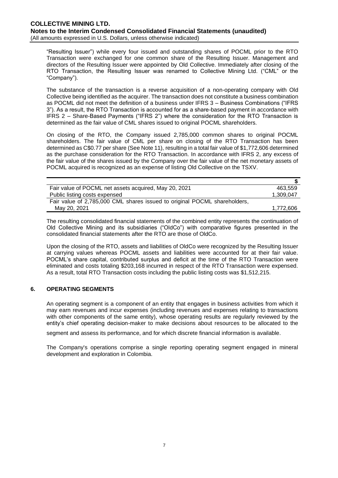"Resulting Issuer") while every four issued and outstanding shares of POCML prior to the RTO Transaction were exchanged for one common share of the Resulting Issuer. Management and directors of the Resulting Issuer were appointed by Old Collective. Immediately after closing of the RTO Transaction, the Resulting Issuer was renamed to Collective Mining Ltd. ("CML" or the "Company").

The substance of the transaction is a reverse acquisition of a non-operating company with Old Collective being identified as the acquirer. The transaction does not constitute a business combination as POCML did not meet the definition of a business under IFRS 3 – Business Combinations ("IFRS 3"). As a result, the RTO Transaction is accounted for as a share-based payment in accordance with IFRS 2 – Share-Based Payments ("IFRS 2") where the consideration for the RTO Transaction is determined as the fair value of CML shares issued to original POCML shareholders.

On closing of the RTO, the Company issued 2,785,000 common shares to original POCML shareholders. The fair value of CML per share on closing of the RTO Transaction has been determined as C\$0.77 per share (See Note 11), resulting in a total fair value of \$1,772,606 determined as the purchase consideration for the RTO Transaction. In accordance with IFRS 2, any excess of the fair value of the shares issued by the Company over the fair value of the net monetary assets of POCML acquired is recognized as an expense of listing Old Collective on the TSXV.

| Fair value of POCML net assets acquired, May 20, 2021                     | 463.559   |
|---------------------------------------------------------------------------|-----------|
| Public listing costs expensed                                             | 1,309,047 |
| Fair value of 2,785,000 CML shares issued to original POCML shareholders, |           |
| May 20, 2021                                                              | 1,772,606 |
|                                                                           |           |

The resulting consolidated financial statements of the combined entity represents the continuation of Old Collective Mining and its subsidiaries ("OldCo") with comparative figures presented in the consolidated financial statements after the RTO are those of OldCo.

Upon the closing of the RTO, assets and liabilities of OldCo were recognized by the Resulting Issuer at carrying values whereas POCML assets and liabilities were accounted for at their fair value. POCML's share capital, contributed surplus and deficit at the time of the RTO Transaction were eliminated and costs totaling \$203,168 incurred in respect of the RTO Transaction were expensed. As a result, total RTO Transaction costs including the public listing costs was \$1,512,215.

#### **6. OPERATING SEGMENTS**

An operating segment is a component of an entity that engages in business activities from which it may earn revenues and incur expenses (including revenues and expenses relating to transactions with other components of the same entity), whose operating results are regularly reviewed by the entity's chief operating decision-maker to make decisions about resources to be allocated to the

segment and assess its performance, and for which discrete financial information is available.

The Company's operations comprise a single reporting operating segment engaged in mineral development and exploration in Colombia.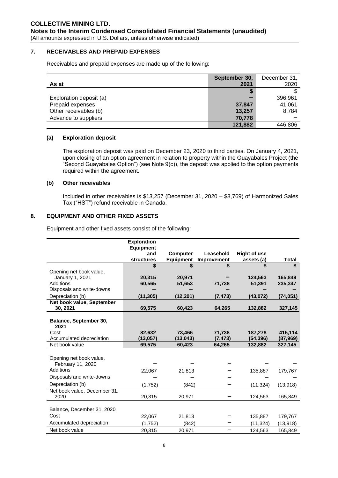#### **7. RECEIVABLES AND PREPAID EXPENSES**

Receivables and prepaid expenses are made up of the following:

|                         | September 30, | December 31, |
|-------------------------|---------------|--------------|
| As at                   | 2021          | 2020         |
|                         | S             |              |
| Exploration deposit (a) |               | 396,961      |
| Prepaid expenses        | 37,847        | 41,061       |
| Other receivables (b)   | 13,257        | 8,784        |
| Advance to suppliers    | 70,778        |              |
|                         | 121,882       | 446,806      |

#### **(a) Exploration deposit**

The exploration deposit was paid on December 23, 2020 to third parties. On January 4, 2021, upon closing of an option agreement in relation to property within the Guayabales Project (the "Second Guayabales Option") (see Note 9(c)), the deposit was applied to the option payments required within the agreement.

#### **(b) Other receivables**

Included in other receivables is \$13,257 (December 31, 2020 – \$8,769) of Harmonized Sales Tax ("HST") refund receivable in Canada.

#### **8. EQUIPMENT AND OTHER FIXED ASSETS**

Equipment and other fixed assets consist of the following:

|                                            | <b>Exploration</b>      |                     |                    |                      |                     |
|--------------------------------------------|-------------------------|---------------------|--------------------|----------------------|---------------------|
|                                            | <b>Equipment</b><br>and | <b>Computer</b>     | Leasehold          | <b>Right of use</b>  |                     |
|                                            | <b>structures</b>       | <b>Equipment</b>    | <b>Improvement</b> | assets (a)           | Total               |
|                                            | \$                      | \$                  | \$                 | \$                   | \$                  |
| Opening net book value,                    |                         |                     |                    |                      |                     |
| January 1, 2021                            | 20.315                  | 20,971              |                    | 124.563              | 165.849             |
| Additions                                  | 60,565                  | 51,653              | 71,738             | 51,391               | 235,347             |
| Disposals and write-downs                  |                         |                     |                    |                      |                     |
| Depreciation (b)                           | (11, 305)               | (12, 201)           | (7, 473)           | (43, 072)            | (74, 051)           |
| Net book value, September                  |                         |                     |                    |                      |                     |
| 30, 2021                                   | 69,575                  | 60,423              | 64,265             | 132,882              | 327,145             |
|                                            |                         |                     |                    |                      |                     |
| Balance, September 30,                     |                         |                     |                    |                      |                     |
| 2021                                       |                         |                     |                    |                      |                     |
| Cost                                       | 82,632<br>(13,057)      | 73,466<br>(13, 043) | 71,738<br>(7, 473) | 187,278<br>(54, 396) | 415,114             |
| Accumulated depreciation<br>Net book value | 69,575                  | 60,423              | 64,265             | 132,882              | (87,969)<br>327,145 |
|                                            |                         |                     |                    |                      |                     |
| Opening net book value,                    |                         |                     |                    |                      |                     |
| February 11, 2020                          |                         |                     |                    |                      |                     |
| Additions                                  | 22,067                  | 21,813              |                    | 135,887              | 179,767             |
| Disposals and write-downs                  |                         |                     |                    |                      |                     |
| Depreciation (b)                           |                         |                     |                    |                      |                     |
|                                            | (1,752)                 | (842)               |                    | (11, 324)            | (13,918)            |
| Net book value, December 31,<br>2020       | 20,315                  | 20,971              |                    | 124,563              | 165,849             |
|                                            |                         |                     |                    |                      |                     |
| Balance, December 31, 2020                 |                         |                     |                    |                      |                     |
| Cost                                       | 22.067                  | 21,813              |                    | 135,887              | 179,767             |
| Accumulated depreciation                   | (1,752)                 | (842)               |                    | (11, 324)            | (13, 918)           |
| Net book value                             | 20,315                  | 20,971              |                    | 124,563              | 165,849             |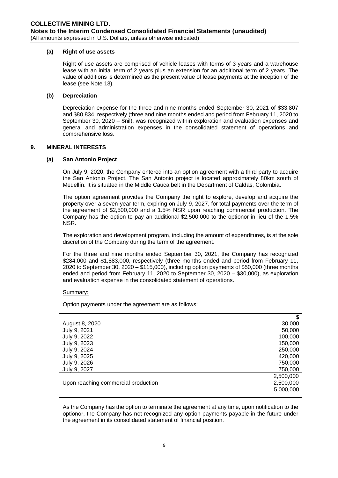#### **(a) Right of use assets**

Right of use assets are comprised of vehicle leases with terms of 3 years and a warehouse lease with an initial term of 2 years plus an extension for an additional term of 2 years. The value of additions is determined as the present value of lease payments at the inception of the lease (see Note 13).

#### **(b) Depreciation**

Depreciation expense for the three and nine months ended September 30, 2021 of \$33,807 and \$80,834, respectively (three and nine months ended and period from February 11, 2020 to September 30, 2020 – \$nil), was recognized within exploration and evaluation expenses and general and administration expenses in the consolidated statement of operations and comprehensive loss.

#### **9. MINERAL INTERESTS**

#### **(a) San Antonio Project**

On July 9, 2020, the Company entered into an option agreement with a third party to acquire the San Antonio Project. The San Antonio project is located approximately 80km south of Medellín. It is situated in the Middle Cauca belt in the Department of Caldas, Colombia.

The option agreement provides the Company the right to explore, develop and acquire the property over a seven-year term, expiring on July 9, 2027, for total payments over the term of the agreement of \$2,500,000 and a 1.5% NSR upon reaching commercial production. The Company has the option to pay an additional \$2,500,000 to the optionor in lieu of the 1.5% NSR.

The exploration and development program, including the amount of expenditures, is at the sole discretion of the Company during the term of the agreement.

For the three and nine months ended September 30, 2021, the Company has recognized \$284,000 and \$1,883,000, respectively (three months ended and period from February 11, 2020 to September 30, 2020 – \$115,000), including option payments of \$50,000 (three months ended and period from February 11, 2020 to September 30, 2020 – \$30,000), as exploration and evaluation expense in the consolidated statement of operations.

#### Summary:

Option payments under the agreement are as follows:

|                                     | \$        |
|-------------------------------------|-----------|
| August 8, 2020                      | 30,000    |
| July 9, 2021                        | 50,000    |
| July 9, 2022                        | 100,000   |
| July 9, 2023                        | 150,000   |
| July 9, 2024                        | 250,000   |
| July 9, 2025                        | 420,000   |
| July 9, 2026                        | 750,000   |
| July 9, 2027                        | 750,000   |
|                                     | 2,500,000 |
| Upon reaching commercial production | 2,500,000 |
|                                     | 5,000,000 |

As the Company has the option to terminate the agreement at any time, upon notification to the optionor, the Company has not recognized any option payments payable in the future under the agreement in its consolidated statement of financial position.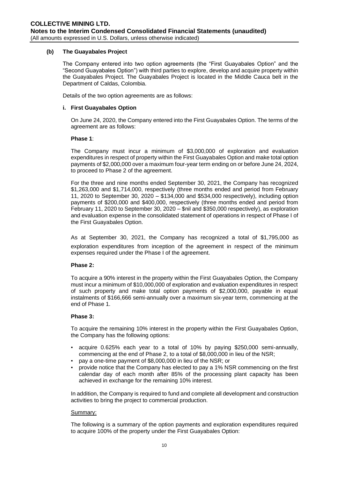#### **(b) The Guayabales Project**

The Company entered into two option agreements (the "First Guayabales Option" and the "Second Guayabales Option") with third parties to explore, develop and acquire property within the Guayabales Project. The Guayabales Project is located in the Middle Cauca belt in the Department of Caldas, Colombia.

Details of the two option agreements are as follows:

#### **i. First Guayabales Option**

On June 24, 2020, the Company entered into the First Guayabales Option. The terms of the agreement are as follows:

#### **Phase 1**:

The Company must incur a minimum of \$3,000,000 of exploration and evaluation expenditures in respect of property within the First Guayabales Option and make total option payments of \$2,000,000 over a maximum four-year term ending on or before June 24, 2024, to proceed to Phase 2 of the agreement.

For the three and nine months ended September 30, 2021, the Company has recognized \$1,263,000 and \$1,714,000, respectively (three months ended and period from February 11, 2020 to September 30, 2020 – \$134,000 and \$534,000 respectively), including option payments of \$200,000 and \$400,000, respectively (three months ended and period from February 11, 2020 to September 30, 2020 – \$nil and \$350,000 respectively), as exploration and evaluation expense in the consolidated statement of operations in respect of Phase I of the First Guayabales Option.

As at September 30, 2021, the Company has recognized a total of \$1,795,000 as exploration expenditures from inception of the agreement in respect of the minimum expenses required under the Phase I of the agreement.

#### **Phase 2:**

To acquire a 90% interest in the property within the First Guayabales Option, the Company must incur a minimum of \$10,000,000 of exploration and evaluation expenditures in respect of such property and make total option payments of \$2,000,000, payable in equal instalments of \$166,666 semi-annually over a maximum six-year term, commencing at the end of Phase 1.

#### **Phase 3:**

To acquire the remaining 10% interest in the property within the First Guayabales Option, the Company has the following options:

- acquire 0.625% each year to a total of 10% by paying \$250,000 semi-annually, commencing at the end of Phase 2, to a total of \$8,000,000 in lieu of the NSR;
- pay a one-time payment of \$8,000,000 in lieu of the NSR; or
- provide notice that the Company has elected to pay a 1% NSR commencing on the first calendar day of each month after 85% of the processing plant capacity has been achieved in exchange for the remaining 10% interest.

In addition, the Company is required to fund and complete all development and construction activities to bring the project to commercial production.

#### Summary:

The following is a summary of the option payments and exploration expenditures required to acquire 100% of the property under the First Guayabales Option: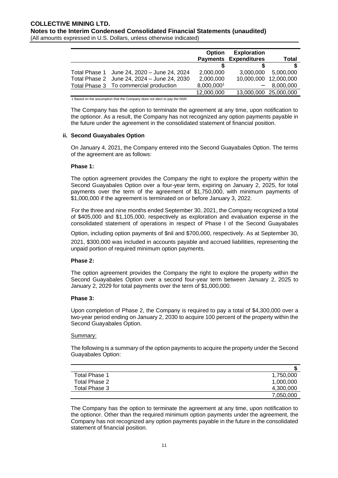|                                             | <b>Option</b> | <b>Exploration</b>           |                       |
|---------------------------------------------|---------------|------------------------------|-----------------------|
|                                             |               | <b>Payments Expenditures</b> | <b>Total</b>          |
|                                             |               |                              |                       |
| Total Phase 1 June 24, 2020 - June 24, 2024 | 2.000.000     | 3.000.000                    | 5.000.000             |
| Total Phase 2 June 24, 2024 - June 24, 2030 | 2,000,000     |                              | 10,000,000 12,000,000 |
| Total Phase 3 To commercial production      | 8,000,0001    |                              | 8.000.000             |
|                                             | 12,000,000    |                              | 13,000,000 25,000,000 |

1 Based on the assumption that the Company does not elect to pay the NSR.

The Company has the option to terminate the agreement at any time, upon notification to the optionor. As a result, the Company has not recognized any option payments payable in the future under the agreement in the consolidated statement of financial position.

#### **ii. Second Guayabales Option**

On January 4, 2021, the Company entered into the Second Guayabales Option. The terms of the agreement are as follows:

#### **Phase 1:**

The option agreement provides the Company the right to explore the property within the Second Guayabales Option over a four-year term, expiring on January 2, 2025, for total payments over the term of the agreement of \$1,750,000, with minimum payments of \$1,000,000 if the agreement is terminated on or before January 3, 2022.

For the three and nine months ended September 30, 2021, the Company recognized a total of \$405,000 and \$1,105,000, respectively as exploration and evaluation expense in the consolidated statement of operations in respect of Phase I of the Second Guayabales

Option, including option payments of \$nil and \$700,000, respectively. As at September 30,

2021, \$300,000 was included in accounts payable and accrued liabilities, representing the unpaid portion of required minimum option payments.

#### **Phase 2:**

The option agreement provides the Company the right to explore the property within the Second Guayabales Option over a second four-year term between January 2, 2025 to January 2, 2029 for total payments over the term of \$1,000,000.

#### **Phase 3:**

Upon completion of Phase 2, the Company is required to pay a total of \$4,300,000 over a two-year period ending on January 2, 2030 to acquire 100 percent of the property within the Second Guayabales Option.

#### Summary:

The following is a summary of the option payments to acquire the property under the Second Guayabales Option:

| Total Phase 1 | 1,750,000 |
|---------------|-----------|
| Total Phase 2 | 1,000,000 |
| Total Phase 3 | 4,300,000 |
|               | 7,050,000 |

The Company has the option to terminate the agreement at any time, upon notification to the optionor. Other than the required minimum option payments under the agreement, the Company has not recognized any option payments payable in the future in the consolidated statement of financial position.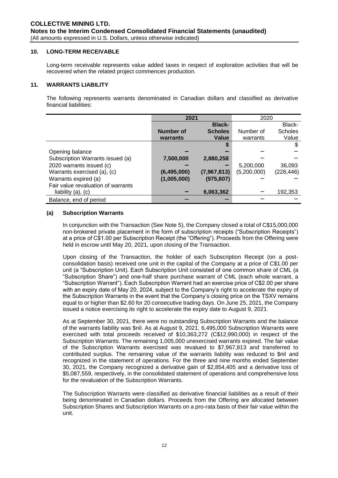#### **10. LONG-TERM RECEIVABLE**

Long-term receivable represents value added taxes in respect of exploration activities that will be recovered when the related project commences production.

#### **11. WARRANTS LIABILITY**

The following represents warrants denominated in Canadian dollars and classified as derivative financial liabilities:

|                                    | 2021        |                | 2020        |                |
|------------------------------------|-------------|----------------|-------------|----------------|
|                                    |             | <b>Black-</b>  |             | Black-         |
|                                    | Number of   | <b>Scholes</b> | Number of   | <b>Scholes</b> |
|                                    | warrants    | Value          | warrants    | Value          |
|                                    |             |                |             | \$             |
| Opening balance                    |             |                |             |                |
| Subscription Warrants issued (a)   | 7,500,000   | 2,880,258      |             |                |
| 2020 warrants issued (c)           |             |                | 5,200,000   | 36,093         |
| Warrants exercised (a), (c)        | (6,495,000) | (7,967,813)    | (5,200,000) | (228, 446)     |
| Warrants expired (a)               | (1,005,000) | (975, 807)     |             |                |
| Fair value revaluation of warrants |             |                |             |                |
| liability (a), (c)                 |             | 6,063,362      |             | 192,353        |
| Balance, end of period             |             |                |             |                |

#### **(a) Subscription Warrants**

In conjunction with the Transaction (See Note 5), the Company closed a total of C\$15,000,000 non-brokered private placement in the form of subscription receipts ("Subscription Receipts") at a price of C\$1.00 per Subscription Receipt (the "Offering"). Proceeds from the Offering were held in escrow until May 20, 2021, upon closing of the Transaction.

Upon closing of the Transaction, the holder of each Subscription Receipt (on a postconsolidation basis) received one unit in the capital of the Company at a price of C\$1.00 per unit (a "Subscription Unit). Each Subscription Unit consisted of one common share of CML (a "Subscription Share") and one-half share purchase warrant of CML (each whole warrant, a "Subscription Warrant"). Each Subscription Warrant had an exercise price of C\$2.00 per share with an expiry date of May 20, 2024, subject to the Company's right to accelerate the expiry of the Subscription Warrants in the event that the Company's closing price on the TSXV remains equal to or higher than \$2.60 for 20 consecutive trading days. On June 25, 2021, the Company issued a notice exercising its right to accelerate the expiry date to August 9, 2021.

As at September 30, 2021, there were no outstanding Subscription Warrants and the balance of the warrants liability was \$nil. As at August 9, 2021, 6,495,000 Subscription Warrants were exercised with total proceeds received of \$10,363,272 (C\$12,990,000) in respect of the Subscription Warrants. The remaining 1,005,000 unexercised warrants expired. The fair value of the Subscription Warrants exercised was revalued to \$7,967,813 and transferred to contributed surplus. The remaining value of the warrants liability was reduced to \$nil and recognized in the statement of operations. For the three and nine months ended September 30, 2021, the Company recognized a derivative gain of \$2,854,405 and a derivative loss of \$5,087,559, respectively, in the consolidated statement of operations and comprehensive loss for the revaluation of the Subscription Warrants.

The Subscription Warrants were classified as derivative financial liabilities as a result of their being denominated in Canadian dollars. Proceeds from the Offering are allocated between Subscription Shares and Subscription Warrants on a pro-rata basis of their fair value within the unit.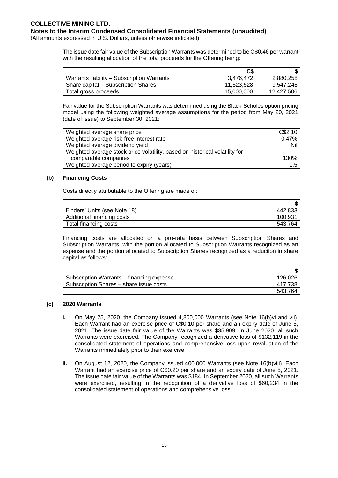# **COLLECTIVE MINING LTD. Notes to the Interim Condensed Consolidated Financial Statements (unaudited)** (All amounts expressed in U.S. Dollars, unless otherwise indicated)

The issue date fair value of the Subscription Warrants was determined to be C\$0.46 per warrant with the resulting allocation of the total proceeds for the Offering being:

|                                            | C\$        |            |
|--------------------------------------------|------------|------------|
| Warrants liability – Subscription Warrants | 3.476.472  | 2.880.258  |
| Share capital – Subscription Shares        | 11.523.528 | 9,547,248  |
| Total gross proceeds                       | 15,000,000 | 12,427,506 |

Fair value for the Subscription Warrants was determined using the Black-Scholes option pricing model using the following weighted average assumptions for the period from May 20, 2021 (date of issue) to September 30, 2021:

| Weighted average share price                                                | C\$2.10 |
|-----------------------------------------------------------------------------|---------|
| Weighted average risk-free interest rate                                    | 0.47%   |
| Weighted average dividend yield                                             | Nil     |
| Weighted average stock price volatility, based on historical volatility for |         |
| comparable companies                                                        | 130%    |
| Weighted average period to expiry (years)                                   | 1.5     |
|                                                                             |         |

#### **(b) Financing Costs**

Costs directly attributable to the Offering are made of:

| Finders' Units (see Note 18) | 442.833 |
|------------------------------|---------|
| Additional financing costs   | 100,931 |
| Total financing costs        | 543.764 |

Financing costs are allocated on a pro-rata basis between Subscription Shares and Subscription Warrants, with the portion allocated to Subscription Warrants recognized as an expense and the portion allocated to Subscription Shares recognized as a reduction in share capital as follows:

| Subscription Warrants – financing expense | 126.026 |
|-------------------------------------------|---------|
| Subscription Shares – share issue costs   | 417.738 |
|                                           | 543.764 |

#### **(c) 2020 Warrants**

- **i.** On May 25, 2020, the Company issued 4,800,000 Warrants (see Note 16(b)vi and vii). Each Warrant had an exercise price of C\$0.10 per share and an expiry date of June 5, 2021. The issue date fair value of the Warrants was \$35,909. In June 2020, all such Warrants were exercised. The Company recognized a derivative loss of \$132,119 in the consolidated statement of operations and comprehensive loss upon revaluation of the Warrants immediately prior to their exercise.
- **ii.** On August 12, 2020, the Company issued 400,000 Warrants (see Note 16(b)viii). Each Warrant had an exercise price of C\$0.20 per share and an expiry date of June 5, 2021. The issue date fair value of the Warrants was \$184. In September 2020, all such Warrants were exercised, resulting in the recognition of a derivative loss of \$60,234 in the consolidated statement of operations and comprehensive loss.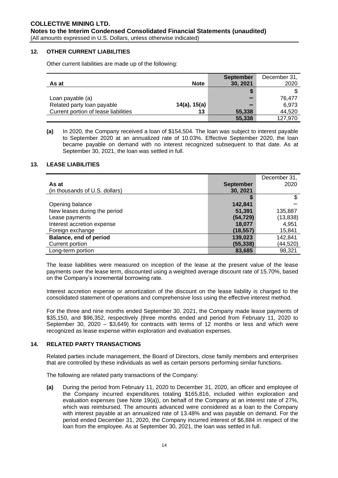#### **12. OTHER CURRENT LIABILITIES**

Other current liabilities are made up of the following:

|                                      |                   | <b>September</b> | December 31, |
|--------------------------------------|-------------------|------------------|--------------|
| As at                                | <b>Note</b>       | 30, 2021         | 2020         |
|                                      |                   |                  |              |
| Loan payable (a)                     |                   |                  | 76.477       |
| Related party loan payable           | $14(a)$ , $15(a)$ |                  | 6.973        |
| Current portion of lease liabilities | 13                | 55,338           | 44,520       |
|                                      |                   | 55,338           | 127.970      |

**(a)** In 2020, the Company received a loan of \$154,504. The loan was subject to interest payable to September 2020 at an annualized rate of 10.03%. Effective September 2020, the loan became payable on demand with no interest recognized subsequent to that date. As at September 30, 2021, the loan was settled in full.

#### **13. LEASE LIABILITIES**

|                                |                  | December 31, |
|--------------------------------|------------------|--------------|
| As at                          | <b>September</b> | 2020         |
| (in thousands of U.S. dollars) | 30, 2021         |              |
|                                |                  |              |
| Opening balance                | 142,841          |              |
| New leases during the period   | 51,391           | 135,887      |
| Lease payments                 | (54, 729)        | (13, 838)    |
| Interest accretion expense     | 18,077           | 4,951        |
| Foreign exchange               | (18, 557)        | 15,841       |
| Balance, end of period         | 139,023          | 142,841      |
| Current portion                | (55, 338)        | (44,520)     |
| Long-term portion              | 83,685           | 98.321       |

The lease liabilities were measured on inception of the lease at the present value of the lease payments over the lease term, discounted using a weighted average discount rate of 15.70%, based on the Company's incremental borrowing rate.

Interest accretion expense or amortization of the discount on the lease liability is charged to the consolidated statement of operations and comprehensive loss using the effective interest method.

For the three and nine months ended September 30, 2021, the Company made lease payments of \$35,150, and \$96,352, respectively (three months ended and period from February 11, 2020 to September 30, 2020 – \$3,649) for contracts with terms of 12 months or less and which were recognized as lease expense within exploration and evaluation expenses.

#### **14. RELATED PARTY TRANSACTIONS**

Related parties include management, the Board of Directors, close family members and enterprises that are controlled by these individuals as well as certain persons performing similar functions.

The following are related party transactions of the Company:

**(a)** During the period from February 11, 2020 to December 31, 2020, an officer and employee of the Company incurred expenditures totaling \$165,816, included within exploration and evaluation expenses (see Note 19(a)), on behalf of the Company at an interest rate of 27%, which was reimbursed. The amounts advanced were considered as a loan to the Company with interest payable at an annualized rate of 13.48% and was payable on demand. For the period ended December 31, 2020, the Company incurred interest of \$6,884 in respect of the loan from the employee. As at September 30, 2021, the loan was settled in full.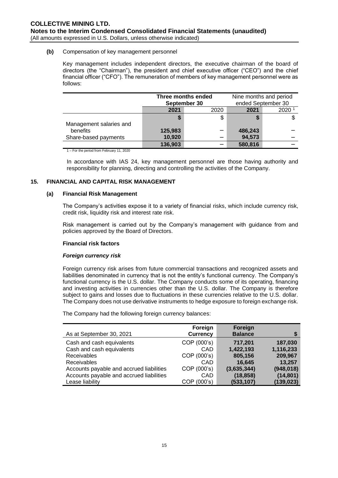#### **(b)** Compensation of key management personnel

Key management includes independent directors, the executive chairman of the board of directors (the "Chairman"), the president and chief executive officer ("CEO") and the chief financial officer ("CFO"). The remuneration of members of key management personnel were as follows:

|                         | Three months ended<br>September 30 |      | Nine months and period<br>ended September 30 |      |
|-------------------------|------------------------------------|------|----------------------------------------------|------|
|                         | 2021                               | 2020 | 2021                                         | 2020 |
| Management salaries and |                                    | \$   |                                              |      |
| benefits                | 125,983                            |      | 486,243                                      |      |
| Share-based payments    | 10,920                             |      | 94,573                                       |      |
|                         | 136,903                            |      | 580,816                                      |      |

1 – For the period from February 11, 2020

In accordance with IAS 24, key management personnel are those having authority and responsibility for planning, directing and controlling the activities of the Company.

# **15. FINANCIAL AND CAPITAL RISK MANAGEMENT**

#### **(a) Financial Risk Management**

The Company's activities expose it to a variety of financial risks, which include currency risk, credit risk, liquidity risk and interest rate risk.

Risk management is carried out by the Company's management with guidance from and policies approved by the Board of Directors.

#### **Financial risk factors**

#### *Foreign currency risk*

Foreign currency risk arises from future commercial transactions and recognized assets and liabilities denominated in currency that is not the entity's functional currency. The Company's functional currency is the U.S. dollar. The Company conducts some of its operating, financing and investing activities in currencies other than the U.S. dollar. The Company is therefore subject to gains and losses due to fluctuations in these currencies relative to the U.S. dollar. The Company does not use derivative instruments to hedge exposure to foreign exchange risk.

The Company had the following foreign currency balances:

|                                          | Foreign         | Foreign        |            |
|------------------------------------------|-----------------|----------------|------------|
| As at September 30, 2021                 | <b>Currency</b> | <b>Balance</b> |            |
| Cash and cash equivalents                | COP (000's)     | 717,201        | 187,030    |
| Cash and cash equivalents                | CAD             | 1,422,193      | 1,116,233  |
| Receivables                              | COP (000's)     | 805,156        | 209,967    |
| Receivables                              | CAD             | 16,645         | 13,257     |
| Accounts payable and accrued liabilities | COP (000's)     | (3,635,344)    | (948, 018) |
| Accounts payable and accrued liabilities | CAD             | (18, 858)      | (14, 801)  |
| Lease liability                          | COP (000's)     | (533, 107)     | (139, 023) |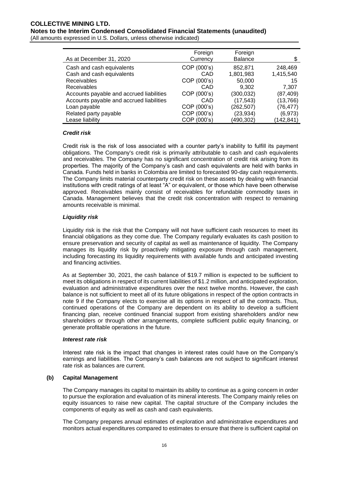# **COLLECTIVE MINING LTD. Notes to the Interim Condensed Consolidated Financial Statements (unaudited)**

(All amounts expressed in U.S. Dollars, unless otherwise indicated)

| As at December 31, 2020                  | Foreign<br>Currency | Foreign<br><b>Balance</b> |           |
|------------------------------------------|---------------------|---------------------------|-----------|
| Cash and cash equivalents                | COP (000's)         | 852.871                   | 248,469   |
| Cash and cash equivalents                | CAD                 | 1,801,983                 | 1,415,540 |
| Receivables                              | COP (000's)         | 50,000                    | 15        |
| <b>Receivables</b>                       | CAD                 | 9.302                     | 7.307     |
| Accounts payable and accrued liabilities | COP (000's)         | (300, 032)                | (87,409)  |
| Accounts payable and accrued liabilities | CAD                 | (17, 543)                 | (13,766)  |
| Loan payable                             | COP (000's)         | (262, 507)                | (76,477)  |
| Related party payable                    | COP (000's)         | (23,934)                  | (6, 973)  |
| Lease liability                          | COP (000's)         | (490,302)                 | (142,841) |

#### *Credit risk*

Credit risk is the risk of loss associated with a counter party's inability to fulfill its payment obligations. The Company's credit risk is primarily attributable to cash and cash equivalents and receivables. The Company has no significant concentration of credit risk arising from its properties. The majority of the Company's cash and cash equivalents are held with banks in Canada. Funds held in banks in Colombia are limited to forecasted 90-day cash requirements. The Company limits material counterparty credit risk on these assets by dealing with financial institutions with credit ratings of at least "A" or equivalent, or those which have been otherwise approved. Receivables mainly consist of receivables for refundable commodity taxes in Canada. Management believes that the credit risk concentration with respect to remaining amounts receivable is minimal.

# *Liquidity risk*

Liquidity risk is the risk that the Company will not have sufficient cash resources to meet its financial obligations as they come due. The Company regularly evaluates its cash position to ensure preservation and security of capital as well as maintenance of liquidity. The Company manages its liquidity risk by proactively mitigating exposure through cash management, including forecasting its liquidity requirements with available funds and anticipated investing and financing activities.

As at September 30, 2021, the cash balance of \$19.7 million is expected to be sufficient to meet its obligations in respect of its current liabilities of \$1.2 million, and anticipated exploration, evaluation and administrative expenditures over the next twelve months. However, the cash balance is not sufficient to meet all of its future obligations in respect of the option contracts in note 9 if the Company elects to exercise all its options in respect of all the contracts. Thus, continued operations of the Company are dependent on its ability to develop a sufficient financing plan, receive continued financial support from existing shareholders and/or new shareholders or through other arrangements, complete sufficient public equity financing, or generate profitable operations in the future.

#### *Interest rate risk*

Interest rate risk is the impact that changes in interest rates could have on the Company's earnings and liabilities. The Company's cash balances are not subject to significant interest rate risk as balances are current.

#### **(b) Capital Management**

The Company manages its capital to maintain its ability to continue as a going concern in order to pursue the exploration and evaluation of its mineral interests. The Company mainly relies on equity issuances to raise new capital. The capital structure of the Company includes the components of equity as well as cash and cash equivalents.

The Company prepares annual estimates of exploration and administrative expenditures and monitors actual expenditures compared to estimates to ensure that there is sufficient capital on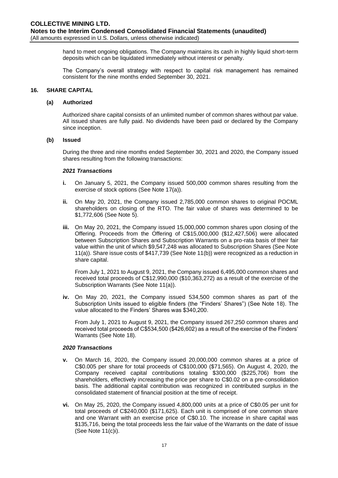hand to meet ongoing obligations. The Company maintains its cash in highly liquid short-term deposits which can be liquidated immediately without interest or penalty.

The Company's overall strategy with respect to capital risk management has remained consistent for the nine months ended September 30, 2021.

#### **16. SHARE CAPITAL**

#### **(a) Authorized**

Authorized share capital consists of an unlimited number of common shares without par value. All issued shares are fully paid. No dividends have been paid or declared by the Company since inception.

#### **(b) Issued**

During the three and nine months ended September 30, 2021 and 2020, the Company issued shares resulting from the following transactions:

#### *2021 Transactions*

- **i.** On January 5, 2021, the Company issued 500,000 common shares resulting from the exercise of stock options (See Note 17(a)).
- **ii.** On May 20, 2021, the Company issued 2,785,000 common shares to original POCML shareholders on closing of the RTO. The fair value of shares was determined to be \$1,772,606 (See Note 5).
- **iii.** On May 20, 2021, the Company issued 15,000,000 common shares upon closing of the Offering. Proceeds from the Offering of C\$15,000,000 (\$12,427,506) were allocated between Subscription Shares and Subscription Warrants on a pro-rata basis of their fair value within the unit of which \$9,547,248 was allocated to Subscription Shares (See Note 11(a)). Share issue costs of \$417,739 (See Note 11(b)) were recognized as a reduction in share capital.

From July 1, 2021 to August 9, 2021, the Company issued 6,495,000 common shares and received total proceeds of C\$12,990,000 (\$10,363,272) as a result of the exercise of the Subscription Warrants (See Note 11(a)).

**iv.** On May 20, 2021, the Company issued 534,500 common shares as part of the Subscription Units issued to eligible finders (the "Finders' Shares") (See Note 18). The value allocated to the Finders' Shares was \$340,200.

From July 1, 2021 to August 9, 2021, the Company issued 267,250 common shares and received total proceeds of C\$534,500 (\$426,602) as a result of the exercise of the Finders' Warrants (See Note 18).

#### *2020 Transactions*

- **v.** On March 16, 2020, the Company issued 20,000,000 common shares at a price of C\$0.005 per share for total proceeds of C\$100,000 (\$71,565). On August 4, 2020, the Company received capital contributions totaling \$300,000 (\$225,706) from the shareholders, effectively increasing the price per share to C\$0.02 on a pre-consolidation basis. The additional capital contribution was recognized in contributed surplus in the consolidated statement of financial position at the time of receipt.
- **vi.** On May 25, 2020, the Company issued 4,800,000 units at a price of C\$0.05 per unit for total proceeds of C\$240,000 (\$171,625). Each unit is comprised of one common share and one Warrant with an exercise price of C\$0.10. The increase in share capital was \$135,716, being the total proceeds less the fair value of the Warrants on the date of issue (See Note 11(c)i).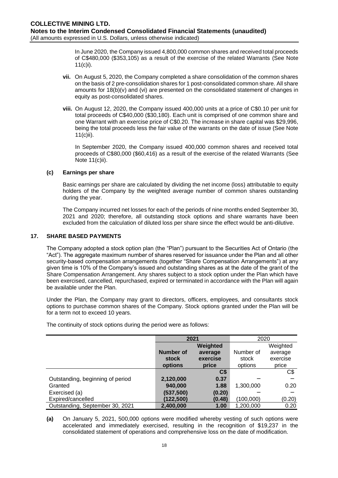In June 2020, the Company issued 4,800,000 common shares and received total proceeds of C\$480,000 (\$353,105) as a result of the exercise of the related Warrants (See Note 11(c)i).

- **vii.** On August 5, 2020, the Company completed a share consolidation of the common shares on the basis of 2 pre-consolidation shares for 1 post-consolidated common share. All share amounts for 18(b)(v) and (vi) are presented on the consolidated statement of changes in equity as post-consolidated shares.
- **viii.** On August 12, 2020, the Company issued 400,000 units at a price of C\$0.10 per unit for total proceeds of C\$40,000 (\$30,180). Each unit is comprised of one common share and one Warrant with an exercise price of C\$0.20. The increase in share capital was \$29,996, being the total proceeds less the fair value of the warrants on the date of issue (See Note 11(c)ii).

In September 2020, the Company issued 400,000 common shares and received total proceeds of C\$80,000 (\$60,416) as a result of the exercise of the related Warrants (See Note 11(c)ii).

#### **(c) Earnings per share**

Basic earnings per share are calculated by dividing the net income (loss) attributable to equity holders of the Company by the weighted average number of common shares outstanding during the year.

The Company incurred net losses for each of the periods of nine months ended September 30, 2021 and 2020; therefore, all outstanding stock options and share warrants have been excluded from the calculation of diluted loss per share since the effect would be anti-dilutive.

#### **17. SHARE BASED PAYMENTS**

The Company adopted a stock option plan (the "Plan") pursuant to the Securities Act of Ontario (the "Act"). The aggregate maximum number of shares reserved for issuance under the Plan and all other security-based compensation arrangements (together "Share Compensation Arrangements") at any given time is 10% of the Company's issued and outstanding shares as at the date of the grant of the Share Compensation Arrangement. Any shares subject to a stock option under the Plan which have been exercised, cancelled, repurchased, expired or terminated in accordance with the Plan will again be available under the Plan.

Under the Plan, the Company may grant to directors, officers, employees, and consultants stock options to purchase common shares of the Company. Stock options granted under the Plan will be for a term not to exceed 10 years.

|                                  |            | 2021           |           | 2020     |
|----------------------------------|------------|----------------|-----------|----------|
|                                  |            | Weighted       |           | Weighted |
|                                  | Number of  | average        | Number of | average  |
|                                  | stock      | exercise       | stock     | exercise |
|                                  | options    | price          | options   | price    |
|                                  |            | C <sub>5</sub> |           | C\$      |
| Outstanding, beginning of period | 2,120,000  | 0.37           |           |          |
| Granted                          | 940,000    | 1.88           | 1,300,000 | 0.20     |
| Exercised (a)                    | (537, 500) | (0.20)         |           |          |
| Expired/cancelled                | (122,500)  | (0.48)         | (100,000) | (0.20)   |
| Outstanding, September 30, 2021  | 2,400,000  | 1.00           | 1,200,000 | 0.20     |

The continuity of stock options during the period were as follows:

**(a)** On January 5, 2021, 500,000 options were modified whereby vesting of such options were accelerated and immediately exercised, resulting in the recognition of \$19,237 in the consolidated statement of operations and comprehensive loss on the date of modification.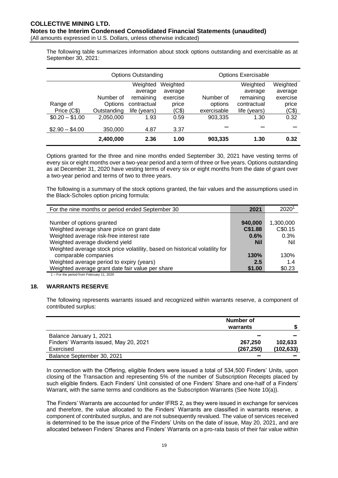The following table summarizes information about stock options outstanding and exercisable as at September 30, 2021:

|                 |             | <b>Options Outstanding</b> |          |             | <b>Options Exercisable</b> |          |
|-----------------|-------------|----------------------------|----------|-------------|----------------------------|----------|
|                 |             | Weighted                   | Weighted |             | Weighted                   | Weighted |
|                 |             | average                    | average  |             | average                    | average  |
|                 | Number of   | remaining                  | exercise | Number of   | remaining                  | exercise |
| Range of        | Options     | contractual                | price    | options     | contractual                | price    |
| Price (C\$)     | Outstanding | life (years)               | (C\$)    | exercisable | life (years)               | (C\$)    |
| $$0.20 - $1.00$ | 2,050,000   | 1.93                       | 0.59     | 903,335     | 1.30                       | 0.32     |
| $$2.90 - $4.00$ | 350,000     | 4.87                       | 3.37     |             |                            |          |
|                 | 2,400,000   | 2.36                       | 1.00     | 903,335     | 1.30                       | 0.32     |

Options granted for the three and nine months ended September 30, 2021 have vesting terms of every six or eight months over a two-year period and a term of three or five years. Options outstanding as at December 31, 2020 have vesting terms of every six or eight months from the date of grant over a two-year period and terms of two to three years.

The following is a summary of the stock options granted, the fair values and the assumptions used in the Black-Scholes option pricing formula:

| For the nine months or period ended September 30                            | 2021       | $2020^1$  |
|-----------------------------------------------------------------------------|------------|-----------|
|                                                                             |            |           |
| Number of options granted                                                   | 940,000    | 1,300,000 |
| Weighted average share price on grant date                                  | C\$1.88    | C\$0.15   |
| Weighted average risk-free interest rate                                    | 0.6%       | 0.3%      |
| Weighted average dividend yield                                             | <b>Nil</b> | Nil       |
| Weighted average stock price volatility, based on historical volatility for |            |           |
| comparable companies                                                        | 130%       | 130%      |
| Weighted average period to expiry (years)                                   | 2.5        | 1.4       |
| Weighted average grant date fair value per share                            | \$1.00     | \$0.23    |
| 1 Eartho pariad from Eabruary 11, 2020                                      |            |           |

#### 1 – For the period from February 11, 2020

#### **18. WARRANTS RESERVE**

The following represents warrants issued and recognized within warrants reserve, a component of contributed surplus:

|                                        | Number of<br>warrants |            |
|----------------------------------------|-----------------------|------------|
| Balance January 1, 2021                |                       |            |
| Finders' Warrants issued, May 20, 2021 | 267.250               | 102.633    |
| Exercised                              | (267, 250)            | (102, 633) |
| Balance September 30, 2021             |                       |            |

In connection with the Offering, eligible finders were issued a total of 534,500 Finders' Units, upon closing of the Transaction and representing 5% of the number of Subscription Receipts placed by such eligible finders. Each Finders' Unit consisted of one Finders' Share and one-half of a Finders' Warrant, with the same terms and conditions as the Subscription Warrants (See Note 10(a)).

The Finders' Warrants are accounted for under IFRS 2, as they were issued in exchange for services and therefore, the value allocated to the Finders' Warrants are classified in warrants reserve, a component of contributed surplus, and are not subsequently revalued. The value of services received is determined to be the issue price of the Finders' Units on the date of issue, May 20, 2021, and are allocated between Finders' Shares and Finders' Warrants on a pro-rata basis of their fair value within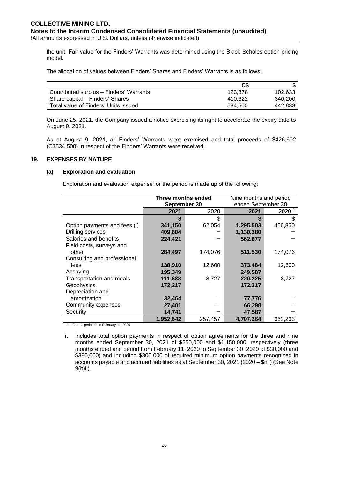the unit. Fair value for the Finders' Warrants was determined using the Black-Scholes option pricing model.

The allocation of values between Finders' Shares and Finders' Warrants is as follows:

|                                         | C\$     |         |
|-----------------------------------------|---------|---------|
| Contributed surplus - Finders' Warrants | 123.878 | 102.633 |
| Share capital – Finders' Shares         | 410.622 | 340.200 |
| Total value of Finders' Units issued    | 534.500 | 442.833 |

On June 25, 2021, the Company issued a notice exercising its right to accelerate the expiry date to August 9, 2021.

As at August 9, 2021, all Finders' Warrants were exercised and total proceeds of \$426,602 (C\$534,500) in respect of the Finders' Warrants were received.

#### **19. EXPENSES BY NATURE**

#### **(a) Exploration and evaluation**

Exploration and evaluation expense for the period is made up of the following:

|                              | Three months ended |         | Nine months and period |                   |
|------------------------------|--------------------|---------|------------------------|-------------------|
|                              | September 30       |         | ended September 30     |                   |
|                              | 2021               | 2020    | 2021                   | 2020 <sup>1</sup> |
|                              |                    | \$      | S                      |                   |
| Option payments and fees (i) | 341,150            | 62,054  | 1,295,503              | 466,860           |
| <b>Drilling services</b>     | 409,804            |         | 1,130,380              |                   |
| Salaries and benefits        | 224,421            |         | 562,677                |                   |
| Field costs, surveys and     |                    |         |                        |                   |
| other                        | 284,497            | 174,076 | 511,530                | 174,076           |
| Consulting and professional  |                    |         |                        |                   |
| fees                         | 138,910            | 12,600  | 373,484                | 12,600            |
| Assaying                     | 195,349            |         | 249,587                |                   |
| Transportation and meals     | 111,688            | 8,727   | 220,225                | 8,727             |
| Geophysics                   | 172,217            |         | 172,217                |                   |
| Depreciation and             |                    |         |                        |                   |
| amortization                 | 32,464             |         | 77,776                 |                   |
| Community expenses           | 27,401             |         | 66,298                 |                   |
| Security                     | 14,741             |         | 47,587                 |                   |
|                              | 1,952,642          | 257,457 | 4,707,264              | 662,263           |

1 – For the period from February 11, 2020

**i.** Includes total option payments in respect of option agreements for the three and nine months ended September 30, 2021 of \$250,000 and \$1,150,000, respectively (three months ended and period from February 11, 2020 to September 30, 2020 of \$30,000 and \$380,000) and including \$300,000 of required minimum option payments recognized in accounts payable and accrued liabilities as at September 30, 2021 (2020 – \$nil) (See Note 9(b)ii).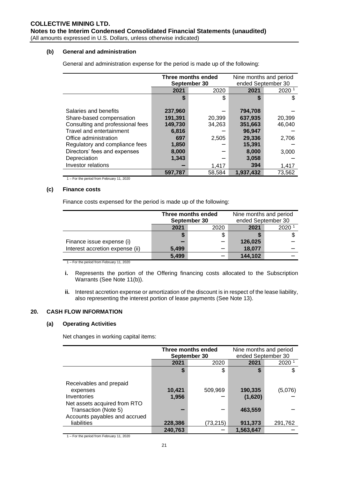#### **(b) General and administration**

General and administration expense for the period is made up of the following:

|                                  | Three months ended |        | Nine months and period |                   |  |
|----------------------------------|--------------------|--------|------------------------|-------------------|--|
|                                  | September 30       |        | ended September 30     |                   |  |
|                                  | 2021               | 2020   | 2021                   | 2020 <sup>1</sup> |  |
|                                  | \$                 | \$     | S                      | S                 |  |
|                                  |                    |        |                        |                   |  |
| Salaries and benefits            | 237,960            |        | 794,708                |                   |  |
| Share-based compensation         | 191,391            | 20,399 | 637,935                | 20,399            |  |
| Consulting and professional fees | 149,730            | 34,263 | 351,663                | 46,040            |  |
| Travel and entertainment         | 6,816              |        | 96,947                 |                   |  |
| Office administration            | 697                | 2,505  | 29,336                 | 2,706             |  |
| Regulatory and compliance fees   | 1,850              |        | 15,391                 |                   |  |
| Directors' fees and expenses     | 8,000              |        | 8,000                  | 3,000             |  |
| Depreciation                     | 1,343              |        | 3,058                  |                   |  |
| Investor relations               |                    | 1,417  | 394                    | 1,417             |  |
|                                  | 597,787            | 58,584 | 1.937.432              | 73,562            |  |

1 – For the period from February 11, 2020

#### **(c) Finance costs**

Finance costs expensed for the period is made up of the following:

|                                 | Three months ended<br>September 30<br>2021<br>2020 |   | Nine months and period<br>ended September 30 |      |
|---------------------------------|----------------------------------------------------|---|----------------------------------------------|------|
|                                 |                                                    |   | 2021                                         | 2020 |
|                                 |                                                    | S |                                              |      |
| Finance issue expense (i)       |                                                    |   | 126,025                                      |      |
| Interest accretion expense (ii) | 5.499                                              |   | 18,077                                       |      |
|                                 | 5,499                                              |   | 144,102                                      |      |

1 – For the period from February 11, 2020

- **i.** Represents the portion of the Offering financing costs allocated to the Subscription Warrants (See Note 11(b)).
- **ii.** Interest accretion expense or amortization of the discount is in respect of the lease liability, also representing the interest portion of lease payments (See Note 13).

#### **20. CASH FLOW INFORMATION**

#### **(a) Operating Activities**

Net changes in working capital items:

|                                                                                                            | Three months ended<br>September 30 |           | Nine months and period<br>ended September 30 |         |
|------------------------------------------------------------------------------------------------------------|------------------------------------|-----------|----------------------------------------------|---------|
|                                                                                                            | 2021                               | 2020      | 2021                                         | 2020    |
|                                                                                                            | \$                                 | \$        | J                                            |         |
| Receivables and prepaid<br>expenses<br>Inventories<br>Net assets acquired from RTO<br>Transaction (Note 5) | 10,421<br>1,956                    | 509,969   | 190,335<br>(1,620)<br>463,559                | (5,076) |
| Accounts payables and accrued<br>liabilities                                                               | 228,386<br>240,763                 | (73, 215) | 911,373<br>1,563,647                         | 291,762 |

1 – For the period from February 11, 2020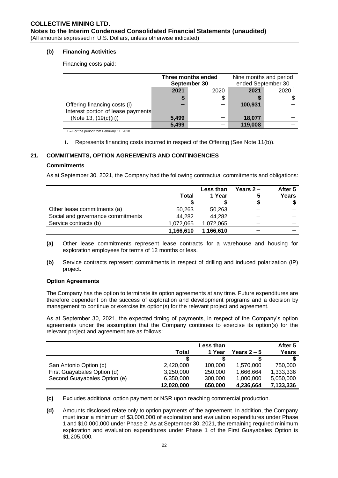### **(b) Financing Activities**

Financing costs paid:

|                                    | Three months ended<br>September 30<br>2021<br>2020 |  | Nine months and period<br>ended September 30 |      |
|------------------------------------|----------------------------------------------------|--|----------------------------------------------|------|
|                                    |                                                    |  | 2021                                         | 2020 |
|                                    | 5                                                  |  |                                              |      |
| Offering financing costs (i)       |                                                    |  | 100,931                                      |      |
| Interest portion of lease payments |                                                    |  |                                              |      |
| (Note 13, (19(c)(ii))              | 5.499                                              |  | 18.077                                       |      |
|                                    | 5,499                                              |  | 119,008                                      |      |

1 – For the period from February 11, 2020

**i.** Represents financing costs incurred in respect of the Offering (See Note 11(b)).

# **21. COMMITMENTS, OPTION AGREEMENTS AND CONTINGENCIES**

#### **Commitments**

As at September 30, 2021, the Company had the following contractual commitments and obligations:

|                                   |           | Less than | Years $2-$ | After 5 |
|-----------------------------------|-----------|-----------|------------|---------|
|                                   | Total     | 1 Year    | 5          | Years   |
|                                   |           |           |            |         |
| Other lease commitments (a)       | 50.263    | 50.263    |            |         |
| Social and governance commitments | 44,282    | 44,282    |            |         |
| Service contracts (b)             | 1,072,065 | 1,072,065 |            |         |
|                                   | 1.166.610 | 1,166,610 |            |         |

- **(a)** Other lease commitments represent lease contracts for a warehouse and housing for exploration employees for terms of 12 months or less.
- **(b)** Service contracts represent commitments in respect of drilling and induced polarization (IP) project.

#### **Option Agreements**

The Company has the option to terminate its option agreements at any time. Future expenditures are therefore dependent on the success of exploration and development programs and a decision by management to continue or exercise its option(s) for the relevant project and agreement.

As at September 30, 2021, the expected timing of payments, in respect of the Company's option agreements under the assumption that the Company continues to exercise its option(s) for the relevant project and agreement are as follows:

|                              | <b>Less than</b> |         |             | After 5   |
|------------------------------|------------------|---------|-------------|-----------|
|                              | Total            | 1 Year  | Years $2-5$ | Years     |
|                              | S                |         |             |           |
| San Antonio Option (c)       | 2,420,000        | 100,000 | 1,570,000   | 750,000   |
| First Guayabales Option (d)  | 3,250,000        | 250,000 | 1,666,664   | 1,333,336 |
| Second Guayabales Option (e) | 6,350,000        | 300,000 | 1,000,000   | 5,050,000 |
|                              | 12,020,000       | 650,000 | 4,236,664   | 7,133,336 |

**(c)** Excludes additional option payment or NSR upon reaching commercial production.

**(d)** Amounts disclosed relate only to option payments of the agreement. In addition, the Company must incur a minimum of \$3,000,000 of exploration and evaluation expenditures under Phase 1 and \$10,000,000 under Phase 2. As at September 30, 2021, the remaining required minimum exploration and evaluation expenditures under Phase 1 of the First Guayabales Option is \$1,205,000.